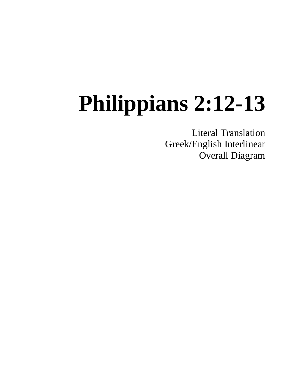# **Philippians 2:12-13**

Literal Translation Greek/English Interlinear Overall Diagram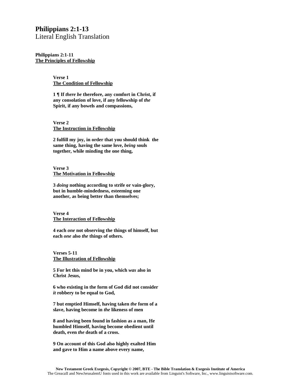### **Philippians 2:1-13**

Literal English Translation

**Philippians 2:1-11 The Principles of Fellowship**

> **Verse 1 The Condition of Fellowship**

**1 ¶ If** *there be* **therefore, any comfort in Christ, if any consolation of love, if any fellowship of** *the*  **Spirit, if any bowels and compassions,**

**Verse 2 The Instruction in Fellowship**

**2 fulfill my joy, in order that you should think the same thing, having the same love,** *being* **souls together, while minding the one thing,**

**Verse 3 The Motivation in Fellowship**

**3** *doing* **nothing according to strife or vain-glory, but in humble-mindedness, esteeming one another, as being better than themselves;**

**Verse 4 The Interaction of Fellowship**

**4 each** *one* **not observing the things of himself, but each** *one* **also** *the* **things of others.**

**Verses 5-11 The Illustration of Fellowship**

**5 For let this mind be in you, which** *was* **also in Christ Jesus,**

**6 who existing in the form of God did not consider**  *it* **robbery to be equal to God,**

**7 but emptied Himself, having taken** *the* **form of a slave, having become in** *the* **likeness of men**

**8 and having been found in fashion as a man, He humbled Himself, having become obedient until death, even** *the* **death of a cross.**

**9 On account of this God also highly exalted Him and gave to Him a name above every name,**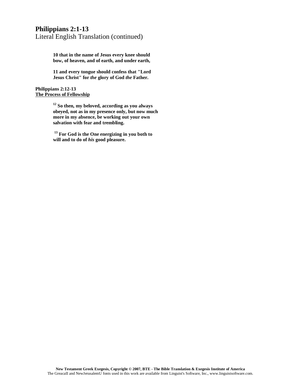## **Philippians 2:1-13** Literal English Translation (continued)

**10 that in the name of Jesus every knee should bow, of heaven, and of earth, and under earth,**

**11 and every tongue should confess that "Lord Jesus Christ" for** *the* **glory of God** *the* **Father.** 

**Philippians 2:12-13 The Process of Fellowship**

> **<sup>12</sup> So then, my beloved, according as you always obeyed, not as in my presence only, but now much more in my absence, be working out your own salvation with fear and trembling.**

**<sup>13</sup> For God is the One energizing in you both to will and to do of** *his* **good pleasure.**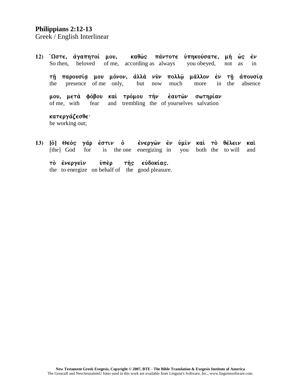#### Philippians 2:12-13

Greek / English Interlinear

καθώς πάντοτε ύπηκούσατε, μή ώς 12) "Ωστε, άγαπητοί μου,  $\epsilon \nu$ of me, according as always beloved So then. you obeyed, in not as τη παρουσία μου μόνον, άλλά νυν πολλώ μάλλον έν τη άπουσία presence of me only, but much the now more in the absence

μου, μετά φόβου καὶ τρόμου τὴν έαυτῶν σωτηρίαν of me, with and trembling the of yourselves salvation fear

κατεργάζεσθε· be working out;

ένεργών έν ύμιν καί το θέλειν καί 13) [ὁ] Θεὸς γάρ ἐστιν ὁ [the] God for the one energizing in both the to will and is you τὸ ἐνεργεῖν ὑπὲρ της εύδοκίας.

the to energize on behalf of the good pleasure.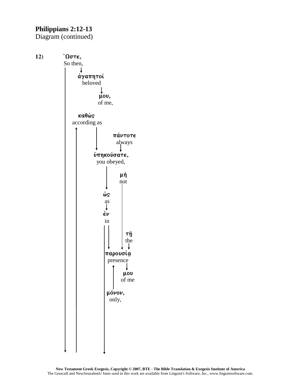## **Philippians 2:12-13**

Diagram (continued)

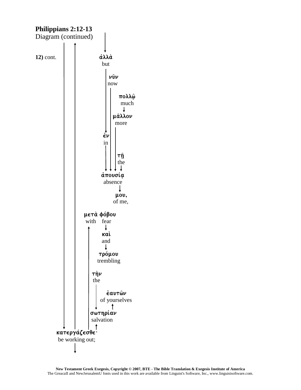